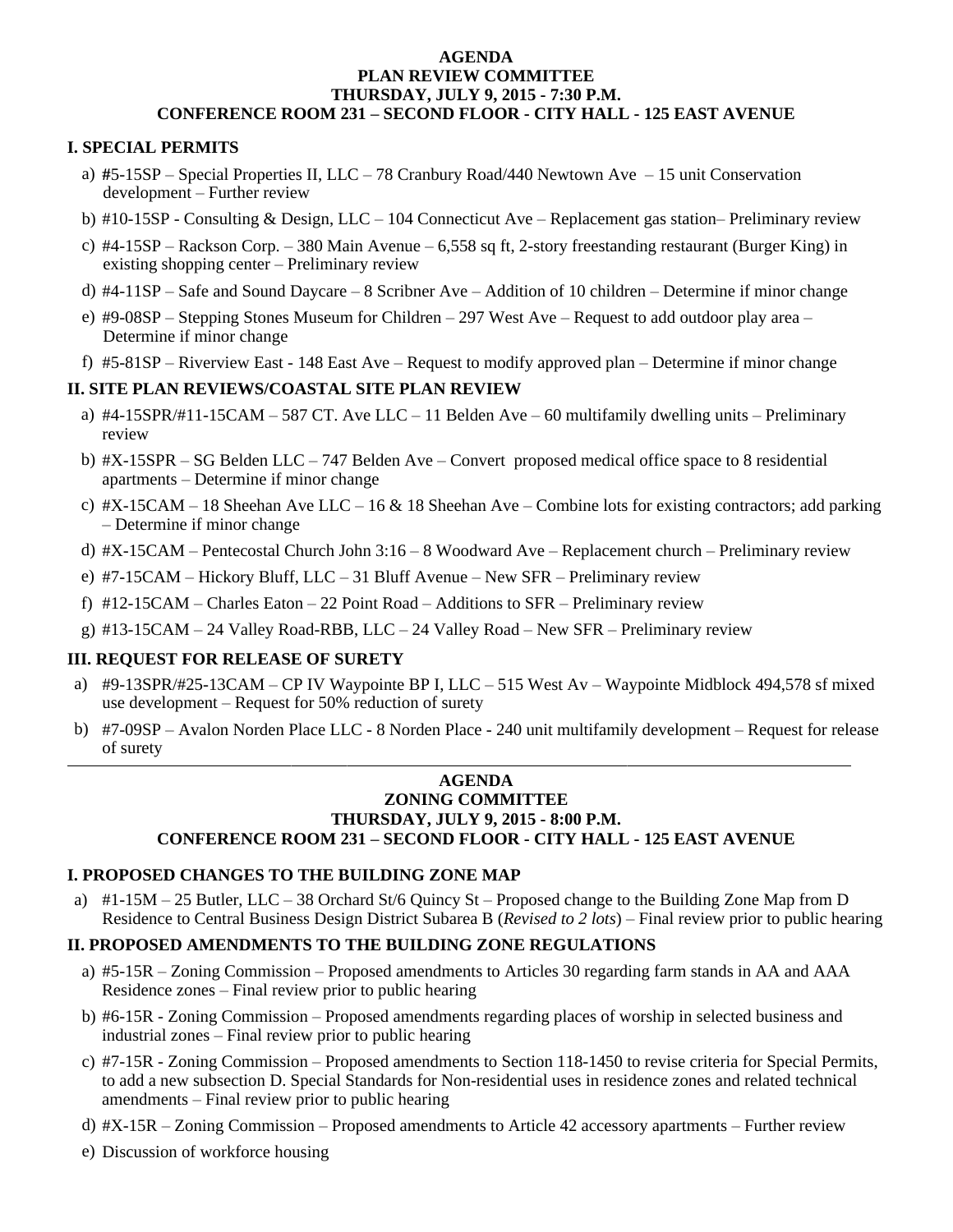#### **AGENDA PLAN REVIEW COMMITTEE THURSDAY, JULY 9, 2015 - 7:30 P.M. CONFERENCE ROOM 231 – SECOND FLOOR - CITY HALL - 125 EAST AVENUE**

#### **I. SPECIAL PERMITS**

- a) **#**5-15SP Special Properties II, LLC 78 Cranbury Road/440 Newtown Ave 15 unit Conservation development – Further review
- b) #10-15SP Consulting & Design, LLC 104 Connecticut Ave Replacement gas station– Preliminary review
- c) #4-15SP Rackson Corp. 380 Main Avenue 6,558 sq ft, 2-story freestanding restaurant (Burger King) in existing shopping center – Preliminary review
- d) #4-11SP Safe and Sound Daycare 8 Scribner Ave Addition of 10 children Determine if minor change
- e) #9-08SP Stepping Stones Museum for Children 297 West Ave Request to add outdoor play area Determine if minor change
- f) #5-81SP Riverview East 148 East Ave Request to modify approved plan Determine if minor change

# **II. SITE PLAN REVIEWS/COASTAL SITE PLAN REVIEW**

- a) #4-15SPR/#11-15CAM 587 CT. Ave LLC 11 Belden Ave 60 multifamily dwelling units Preliminary review
- b) #X-15SPR SG Belden LLC 747 Belden Ave Convert proposed medical office space to 8 residential apartments – Determine if minor change
- c) #X-15CAM 18 Sheehan Ave LLC 16  $\&$  18 Sheehan Ave Combine lots for existing contractors; add parking – Determine if minor change
- d) #X-15CAM Pentecostal Church John 3:16 8 Woodward Ave Replacement church Preliminary review
- e) #7-15CAM Hickory Bluff, LLC 31 Bluff Avenue New SFR Preliminary review
- f) #12-15CAM Charles Eaton 22 Point Road Additions to SFR Preliminary review
- g) #13-15CAM 24 Valley Road-RBB, LLC 24 Valley Road New SFR Preliminary review

# **III. REQUEST FOR RELEASE OF SURETY**

l

- a) #9-13SPR/#25-13CAM CP IV Waypointe BP I, LLC 515 West Av Waypointe Midblock 494,578 sf mixed use development – Request for 50% reduction of surety
- b) #7-09SP Avalon Norden Place LLC 8 Norden Place 240 unit multifamily development Request for release of surety

#### **AGENDA ZONING COMMITTEE THURSDAY, JULY 9, 2015 - 8:00 P.M. CONFERENCE ROOM 231 – SECOND FLOOR - CITY HALL - 125 EAST AVENUE**

# **I. PROPOSED CHANGES TO THE BUILDING ZONE MAP**

a) #1-15M – 25 Butler, LLC – 38 Orchard St/6 Quincy St – Proposed change to the Building Zone Map from D Residence to Central Business Design District Subarea B (*Revised to 2 lots*) – Final review prior to public hearing

# **II. PROPOSED AMENDMENTS TO THE BUILDING ZONE REGULATIONS**

- a) #5-15R Zoning Commission Proposed amendments to Articles 30 regarding farm stands in AA and AAA Residence zones – Final review prior to public hearing
- b) #6-15R Zoning Commission Proposed amendments regarding places of worship in selected business and industrial zones – Final review prior to public hearing
- c) #7-15R Zoning Commission Proposed amendments to Section 118-1450 to revise criteria for Special Permits, to add a new subsection D. Special Standards for Non-residential uses in residence zones and related technical amendments – Final review prior to public hearing
- d) #X-15R Zoning Commission Proposed amendments to Article 42 accessory apartments Further review
- e) Discussion of workforce housing